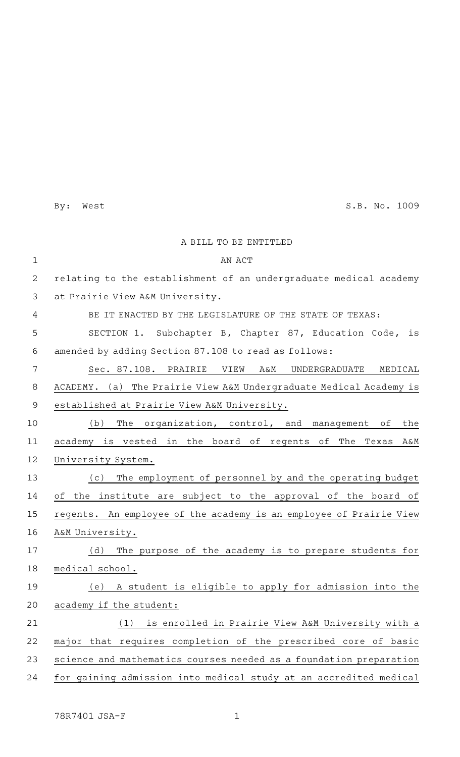By: West S.B. No. 1009

|                | A BILL TO BE ENTITLED                                              |
|----------------|--------------------------------------------------------------------|
| $\mathbf{1}$   | AN ACT                                                             |
| 2              | relating to the establishment of an undergraduate medical academy  |
| 3              | at Prairie View A&M University.                                    |
| 4              | BE IT ENACTED BY THE LEGISLATURE OF THE STATE OF TEXAS:            |
| 5              | SECTION 1. Subchapter B, Chapter 87, Education Code, is            |
| 6              | amended by adding Section 87.108 to read as follows:               |
| 7              | Sec. 87.108. PRAIRIE VIEW<br>UNDERGRADUATE<br>Α&Μ<br>MEDICAL       |
| 8              | ACADEMY. (a) The Prairie View A&M Undergraduate Medical Academy is |
| $\overline{9}$ | established at Prairie View A&M University.                        |
| 10             | The organization, control, and management of<br>the<br>(b)         |
| 11             | academy is vested in the board of regents of The Texas A&M         |
| 12             | University System.                                                 |
| 13             | The employment of personnel by and the operating budget<br>(c)     |
| 14             | of the institute are subject to the approval of the board of       |
| 15             | regents. An employee of the academy is an employee of Prairie View |
| 16             | A&M University.                                                    |
| 17             | The purpose of the academy is to prepare students for<br>(d)       |
| 18             | medical school.                                                    |
| 19             | A student is eligible to apply for admission into the<br>(e)       |
| 20             | academy if the student:                                            |
| 21             | is enrolled in Prairie View A&M University with a<br>(1)           |
| 22             | major that requires completion of the prescribed core of basic     |
| 23             | science and mathematics courses needed as a foundation preparation |
| 24             | for gaining admission into medical study at an accredited medical  |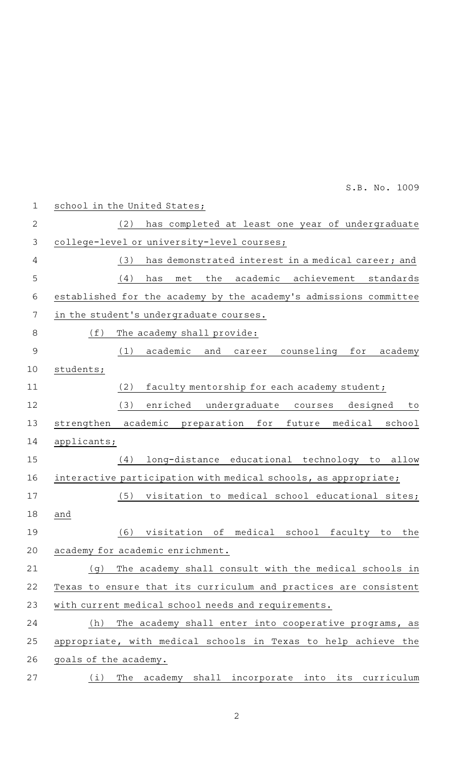|                | S.B. No. 1009                                                     |
|----------------|-------------------------------------------------------------------|
| $\mathbf{1}$   | school in the United States;                                      |
| $\mathbf{2}$   | has completed at least one year of undergraduate<br>(2)           |
| $\mathfrak{Z}$ | college-level or university-level courses;                        |
| 4              | has demonstrated interest in a medical career; and<br>(3)         |
| 5              | the<br>academic achievement standards<br>(4)<br>has<br>met        |
| $\sqrt{6}$     | established for the academy by the academy's admissions committee |
| 7              | in the student's undergraduate courses.                           |
| $\,8\,$        | (f)<br>The academy shall provide:                                 |
| $\overline{9}$ | academic and career counseling for academy<br>(1)                 |
| 10             | students;                                                         |
| 11             | faculty mentorship for each academy student;<br>(2)               |
| 12             | enriched undergraduate courses designed<br>(3)<br>to              |
| 13             | academic preparation for future medical<br>school<br>strengthen   |
| 14             | applicants;                                                       |
| 15             | long-distance educational technology to allow<br>(4)              |
| 16             | interactive participation with medical schools, as appropriate;   |
| 17             | visitation to medical school educational sites;<br>(5)            |
| 18             | and                                                               |
| 19             | visitation of medical school faculty to<br>(6)<br>the             |
| 20             | academy for academic enrichment.                                  |
| 21             | The academy shall consult with the medical schools in<br>(q)      |
| 22             | Texas to ensure that its curriculum and practices are consistent  |
| 23             | with current medical school needs and requirements.               |
| 24             | The academy shall enter into cooperative programs, as<br>(h)      |
| 25             | appropriate, with medical schools in Texas to help achieve the    |
| 26             | goals of the academy.                                             |
| 27             | The academy shall incorporate into its curriculum<br>(i)          |

2